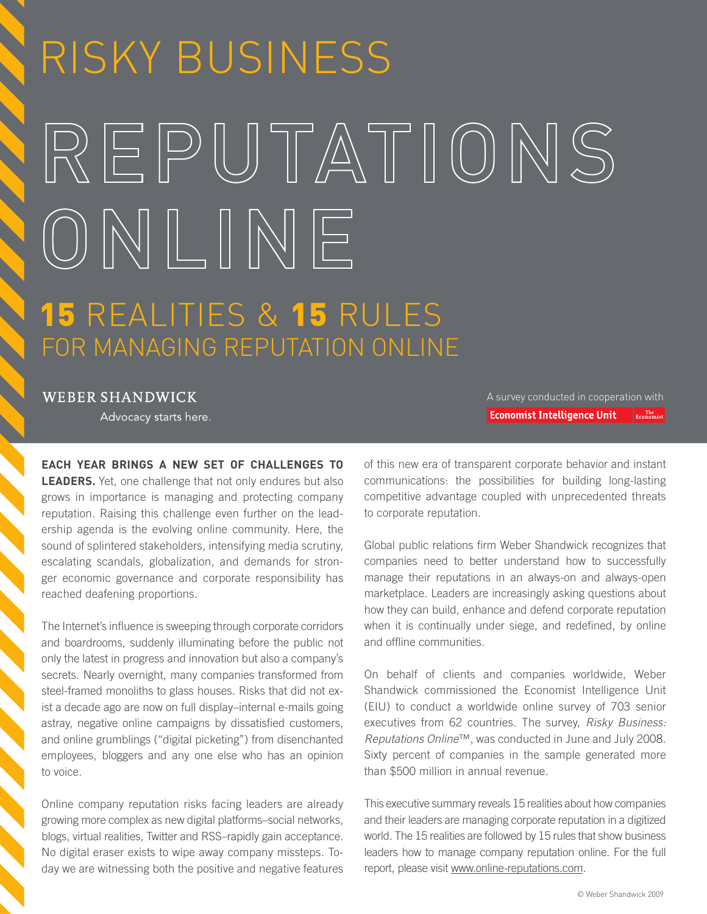# RISKY BUSINESS REPUTATIONS ONLINE **15 REALITIES & 15 RULES** FOR MANAGING REPUTATION ONLINE

**WEBER SHANDWICK** 

Advocacy starts here.

**EACH YEAR BRINGS A NEW SET OF CHALLENGES TO LEADERS.** Yet, one challenge that not only endures but also grows in importance is managing and protecting company reputation. Raising this challenge even further on the leadership agenda is the evolving online community. Here, the sound of splintered stakeholders, intensifying media scrutiny, escalating scandals, globalization, and demands for stronger economic governance and corporate responsibility has reached deafening proportions.

The Internet's influence is sweeping through corporate corridors and boardrooms, suddenly illuminating before the public not only the latest in progress and innovation but also a company's secrets. Nearly overnight, many companies transformed from steel-framed monoliths to glass houses. Risks that did not exist a decade ago are now on full display–internal e-mails going astray, negative online campaigns by dissatisfied customers, and online grumblings ("digital picketing") from disenchanted employees, bloggers and any one else who has an opinion to voice.

Online company reputation risks facing leaders are already growing more complex as new digital platforms–social networks, blogs, virtual realities, Twitter and RSS–rapidly gain acceptance. No digital eraser exists to wipe away company missteps. Today we are witnessing both the positive and negative features

A survey conducted in cooperation with **Economist Intelligence Unit**  $\Big|$  Economist

of this new era of transparent corporate behavior and instant communications: the possibilities for building long-lasting competitive advantage coupled with unprecedented threats to corporate reputation.

Global public relations firm Weber Shandwick recognizes that companies need to better understand how to successfully manage their reputations in an always-on and always-open marketplace. Leaders are increasingly asking questions about how they can build, enhance and defend corporate reputation when it is continually under siege, and redefined, by online and offline communities.

On behalf of clients and companies worldwide, Weber Shandwick commissioned the Economist Intelligence Unit (EIU) to conduct a worldwide online survey of 703 senior executives from 62 countries. The survey, *Risky Business: Reputations Online*™, was conducted in June and July 2008. Sixty percent of companies in the sample generated more than \$500 million in annual revenue.

This executive summary reveals 15 realities about how companies and their leaders are managing corporate reputation in a digitized world. The 15 realities are followed by 15 rules that show business leaders how to manage company reputation online. For the full report, please visit [www.online-reputations.com.](http://www.online-reputations.com)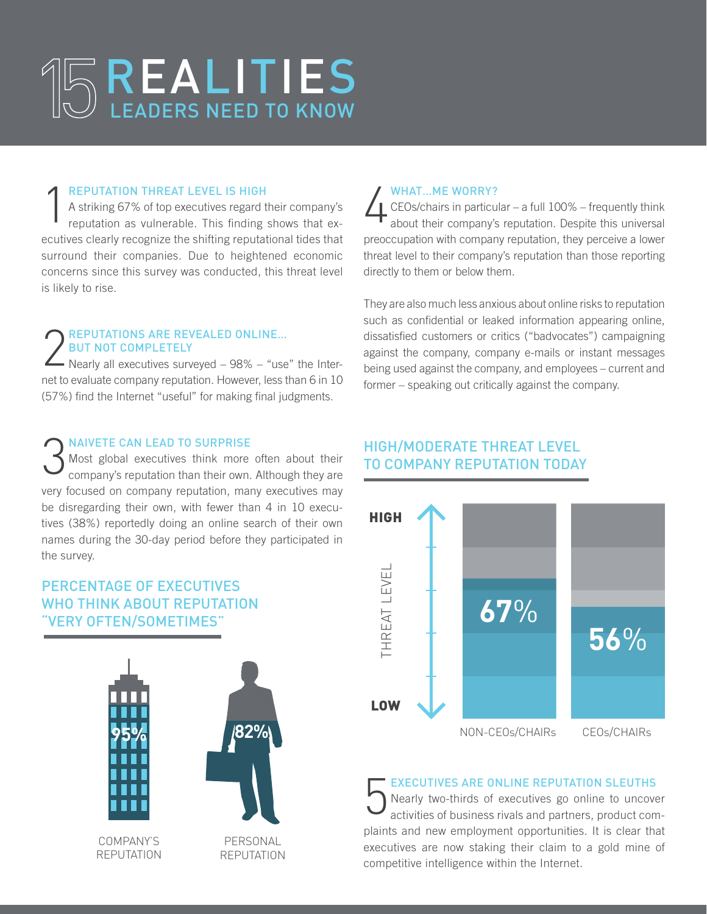# REALITIES LEADERS NEED TO KNOW

#### Reputation Threat Level Is High

1 A striking 67% of top executives regard their company's reputation as vulnerable. This finding shows that executives clearly recognize the shifting reputational tides that surround their companies. Due to heightened economic concerns since this survey was conducted, this threat level is likely to rise.

#### REPUTATIONS ARE REVEALED ONLINE... But Not Completely

- Nearly all executives surveyed - 98% - "use" the Internet to evaluate company reputation. However, less than 6 in 10 (57%) find the Internet "useful" for making final judgments.

#### **NAIVETE CAN LEAD TO SURPRISE**

3 Most global executives think more often about their company's reputation than their own. Although they are very focused on company reputation, many executives may be disregarding their own, with fewer than 4 in 10 executives (38%) reportedly doing an online search of their own names during the 30-day period before they participated in the survey.

#### PERCENTAGE OF EXECUTIVES WHO THINK ABOUT REPUTATION **'VERY OFTEN/SOMETIMES**



#### WHAT...ME WORRY?

4 CEOs/chairs in particular – a full 100% – frequently think about their company's reputation. Despite this universal preoccupation with company reputation, they perceive a lower threat level to their company's reputation than those reporting directly to them or below them.

They are also much less anxious about online risks to reputation such as confidential or leaked information appearing online, dissatisfied customers or critics ("badvocates") campaigning against the company, company e-mails or instant messages being used against the company, and employees – current and former – speaking out critically against the company.

#### HIGH/MODERATE THREAT LEVEL TO COMPANY REPUTATION TODAY



#### Executives Are Online Reputation Sleuths

5 Nearly two-thirds of executives go online to uncover activities of business rivals and partners, product complaints and new employment opportunities. It is clear that executives are now staking their claim to a gold mine of competitive intelligence within the Internet.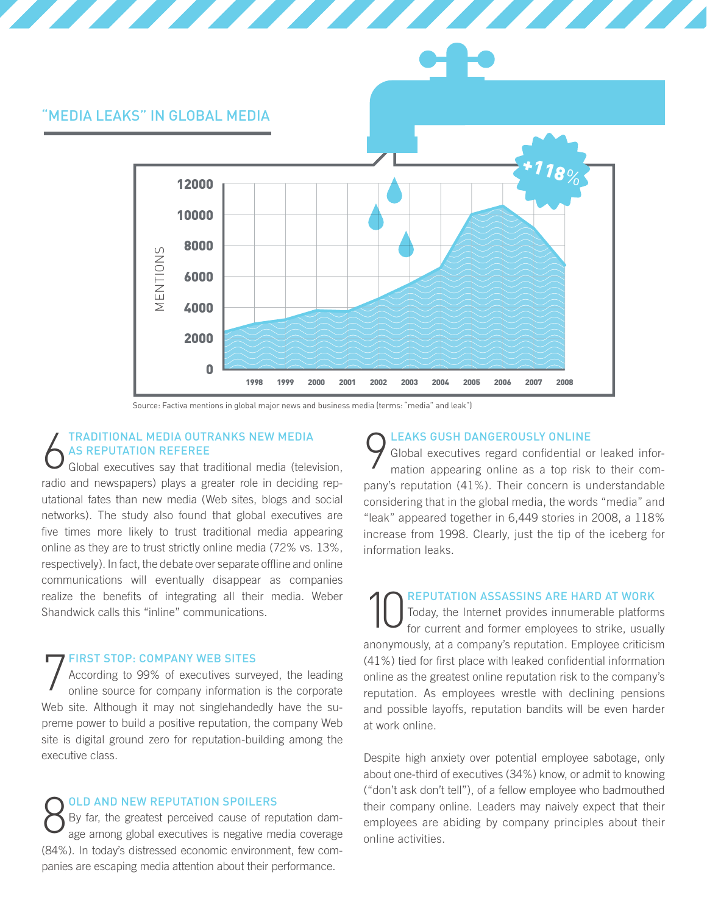

Source: Factiva mentions in global major news and business media (terms: "media" and leak")

#### 6 Traditional Media Outranks New Media as Reputation Referee

Global executives say that traditional media (television, radio and newspapers) plays a greater role in deciding reputational fates than new media (Web sites, blogs and social networks). The study also found that global executives are five times more likely to trust traditional media appearing online as they are to trust strictly online media (72% vs. 13%, respectively). In fact, the debate over separate offline and online communications will eventually disappear as companies realize the benefits of integrating all their media. Weber Shandwick calls this "inline" communications.

#### First Stop: Company Web Sites

7 According to 99% of executives surveyed, the leading online source for company information is the corporate Web site. Although it may not singlehandedly have the supreme power to build a positive reputation, the company Web site is digital ground zero for reputation-building among the executive class.

8 Old and New Reputation Spoilers By far, the greatest perceived cause of reputation damage among global executives is negative media coverage (84%). In today's distressed economic environment, few companies are escaping media attention about their performance.

#### Leaks Gush Dangerously Online

9 Global executives regard confidential or leaked information appearing online as a top risk to their company's reputation (41%). Their concern is understandable considering that in the global media, the words "media" and "leak" appeared together in 6,449 stories in 2008, a 118% increase from 1998. Clearly, just the tip of the iceberg for information leaks.

**10 REPUTATION ASSASSINS ARE HARD AT WORK**<br>For current and former employees to strike, usually Today, the Internet provides innumerable platforms anonymously, at a company's reputation. Employee criticism (41%) tied for first place with leaked confidential information online as the greatest online reputation risk to the company's reputation. As employees wrestle with declining pensions and possible layoffs, reputation bandits will be even harder at work online.

Despite high anxiety over potential employee sabotage, only about one-third of executives (34%) know, or admit to knowing ("don't ask don't tell"), of a fellow employee who badmouthed their company online. Leaders may naively expect that their employees are abiding by company principles about their online activities.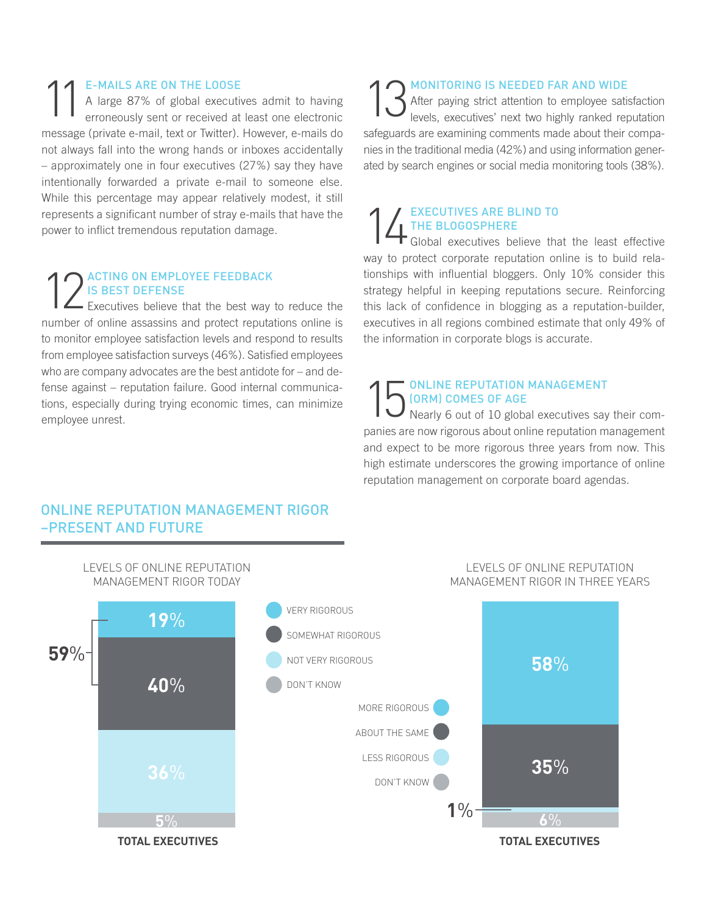E-MAILS ARE ON THE LOOSE<br>A large 87% of global executive rroneously sent or received at A large 87% of global executives admit to having erroneously sent or received at least one electronic message (private e-mail, text or Twitter). However, e-mails do not always fall into the wrong hands or inboxes accidentally – approximately one in four executives (27%) say they have intentionally forwarded a private e-mail to someone else. While this percentage may appear relatively modest, it still represents a significant number of stray e-mails that have the power to inflict tremendous reputation damage.

## 12ACTING ON EMPLOYEE FEEDBACK<br>Executives believe that the best way to reduce the Is Best Defense

number of online assassins and protect reputations online is to monitor employee satisfaction levels and respond to results from employee satisfaction surveys (46%). Satisfied employees who are company advocates are the best antidote for – and defense against – reputation failure. Good internal communications, especially during trying economic times, can minimize employee unrest.

13 MONITORING IS NEEDED FAR AND WIDE<br>After paying strict attention to employee satively levels, executives' next two highly ranked required After paying strict attention to employee satisfaction levels, executives' next two highly ranked reputation safeguards are examining comments made about their companies in the traditional media (42%) and using information generated by search engines or social media monitoring tools (38%).

## EXECUTIVES ARE BLIND TO<br>THE BLOGOSPHERE<br>Global executives believe that the Blogosphere

Global executives believe that the least effective way to protect corporate reputation online is to build relationships with influential bloggers. Only 10% consider this strategy helpful in keeping reputations secure. Reinforcing this lack of confidence in blogging as a reputation-builder, executives in all regions combined estimate that only 49% of the information in corporate blogs is accurate.

## **15** ONLINE REPUTATION MANAGEMENT<br>
Nearly 6 out of 10 global executives say (ORM) Comes of Age

Nearly 6 out of 10 global executives say their companies are now rigorous about online reputation management and expect to be more rigorous three years from now. This high estimate underscores the growing importance of online reputation management on corporate board agendas.

#### ONLINE REPUTATION MANAGEMENT RIGOR –PRESENT AND FUTURE

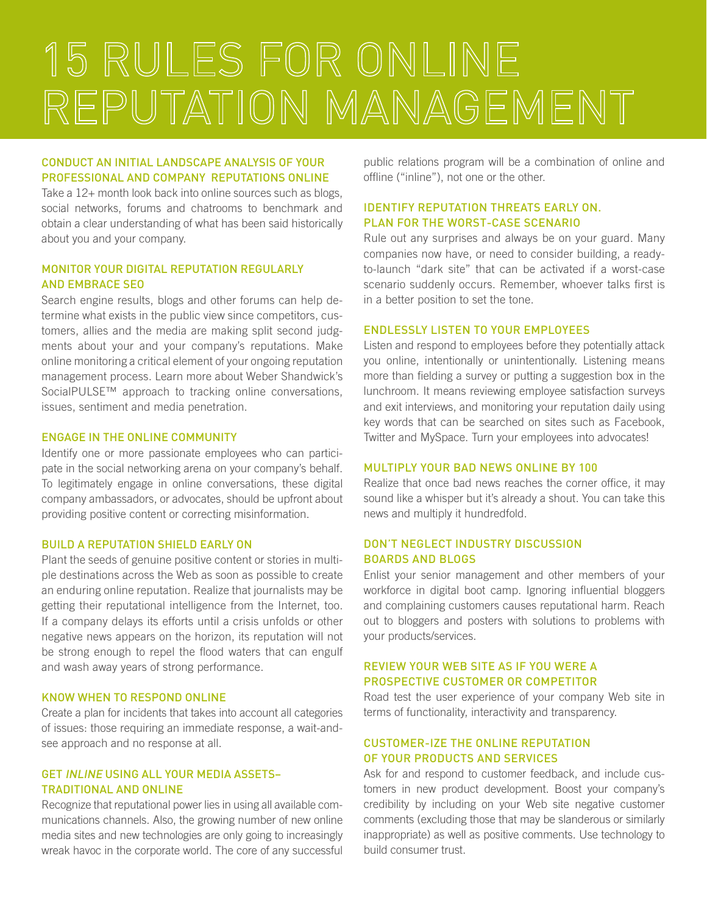# 15 RULES FOR ONLINE REPUTATION MANAGEMENT

#### Conduct an initial landscape analysis of your professional and company reputations online

Take a 12+ month look back into online sources such as blogs, social networks, forums and chatrooms to benchmark and obtain a clear understanding of what has been said historically about you and your company.

#### Monitor your digital reputation regularly and embrace SEO

Search engine results, blogs and other forums can help determine what exists in the public view since competitors, customers, allies and the media are making split second judgments about your and your company's reputations. Make online monitoring a critical element of your ongoing reputation management process. Learn more about Weber Shandwick's SocialPULSE™ approach to tracking online conversations, issues, sentiment and media penetration.

#### Engage in the online community

Identify one or more passionate employees who can participate in the social networking arena on your company's behalf. To legitimately engage in online conversations, these digital company ambassadors, or advocates, should be upfront about providing positive content or correcting misinformation.

#### Build a reputation shield early on

Plant the seeds of genuine positive content or stories in multiple destinations across the Web as soon as possible to create an enduring online reputation. Realize that journalists may be getting their reputational intelligence from the Internet, too. If a company delays its efforts until a crisis unfolds or other negative news appears on the horizon, its reputation will not be strong enough to repel the flood waters that can engulf and wash away years of strong performance.

#### Know when to respond online

Create a plan for incidents that takes into account all categories of issues: those requiring an immediate response, a wait-andsee approach and no response at all.

#### Get inline using all your media assets– Traditional and online

Recognize that reputational power lies in using all available communications channels. Also, the growing number of new online media sites and new technologies are only going to increasingly wreak havoc in the corporate world. The core of any successful

public relations program will be a combination of online and offline ("inline"), not one or the other.

#### Identify Reputation Threats Early On. Plan for the worst-case scenario

Rule out any surprises and always be on your guard. Many companies now have, or need to consider building, a readyto-launch "dark site" that can be activated if a worst-case scenario suddenly occurs. Remember, whoever talks first is in a better position to set the tone.

#### Endlessly listen to your employees

Listen and respond to employees before they potentially attack you online, intentionally or unintentionally. Listening means more than fielding a survey or putting a suggestion box in the lunchroom. It means reviewing employee satisfaction surveys and exit interviews, and monitoring your reputation daily using key words that can be searched on sites such as Facebook, Twitter and MySpace. Turn your employees into advocates!

#### Multiply your bad news online by 100

Realize that once bad news reaches the corner office, it may sound like a whisper but it's already a shout. You can take this news and multiply it hundredfold.

#### Don't neglect industry discussion boards and blogs

Enlist your senior management and other members of your workforce in digital boot camp. Ignoring influential bloggers and complaining customers causes reputational harm. Reach out to bloggers and posters with solutions to problems with your products/services.

#### Review your Web site as if you were a prospective customer or competitor

Road test the user experience of your company Web site in terms of functionality, interactivity and transparency.

#### Customer-ize the online reputation of your products and services

Ask for and respond to customer feedback, and include customers in new product development. Boost your company's credibility by including on your Web site negative customer comments (excluding those that may be slanderous or similarly inappropriate) as well as positive comments. Use technology to build consumer trust.